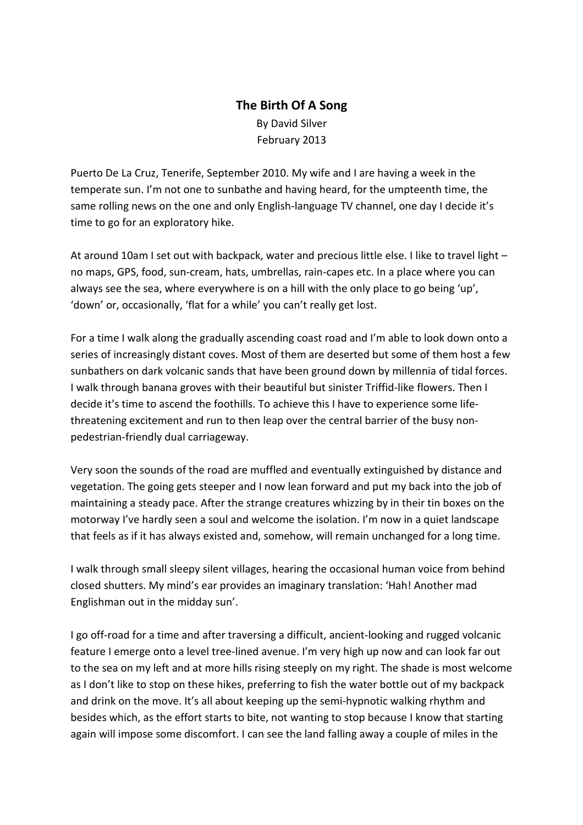## **The Birth Of A Song**  By David Silver February 2013

Puerto De La Cruz, Tenerife, September 2010. My wife and I are having a week in the temperate sun. I'm not one to sunbathe and having heard, for the umpteenth time, the same rolling news on the one and only English-language TV channel, one day I decide it's time to go for an exploratory hike.

At around 10am I set out with backpack, water and precious little else. I like to travel light no maps, GPS, food, sun-cream, hats, umbrellas, rain-capes etc. In a place where you can always see the sea, where everywhere is on a hill with the only place to go being 'up', 'down' or, occasionally, 'flat for a while' you can't really get lost.

For a time I walk along the gradually ascending coast road and I'm able to look down onto a series of increasingly distant coves. Most of them are deserted but some of them host a few sunbathers on dark volcanic sands that have been ground down by millennia of tidal forces. I walk through banana groves with their beautiful but sinister Triffid-like flowers. Then I decide it's time to ascend the foothills. To achieve this I have to experience some lifethreatening excitement and run to then leap over the central barrier of the busy nonpedestrian-friendly dual carriageway.

Very soon the sounds of the road are muffled and eventually extinguished by distance and vegetation. The going gets steeper and I now lean forward and put my back into the job of maintaining a steady pace. After the strange creatures whizzing by in their tin boxes on the motorway I've hardly seen a soul and welcome the isolation. I'm now in a quiet landscape that feels as if it has always existed and, somehow, will remain unchanged for a long time.

I walk through small sleepy silent villages, hearing the occasional human voice from behind closed shutters. My mind's ear provides an imaginary translation: 'Hah! Another mad Englishman out in the midday sun'.

I go off-road for a time and after traversing a difficult, ancient-looking and rugged volcanic feature I emerge onto a level tree-lined avenue. I'm very high up now and can look far out to the sea on my left and at more hills rising steeply on my right. The shade is most welcome as I don't like to stop on these hikes, preferring to fish the water bottle out of my backpack and drink on the move. It's all about keeping up the semi-hypnotic walking rhythm and besides which, as the effort starts to bite, not wanting to stop because I know that starting again will impose some discomfort. I can see the land falling away a couple of miles in the